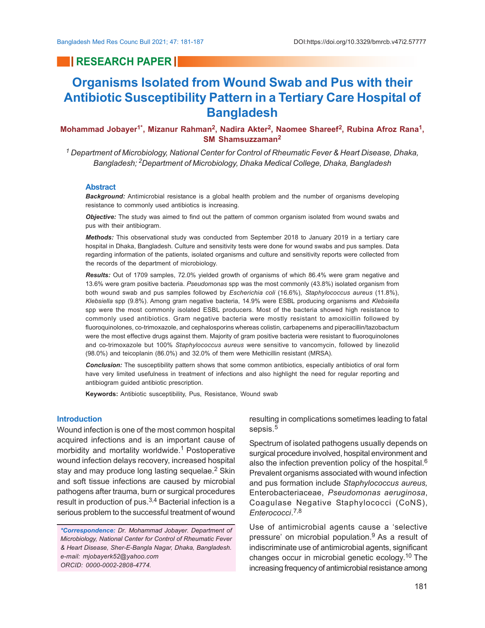# **RESEARCH PAPER**

# **Organisms Isolated from Wound Swab and Pus with their Antibiotic Susceptibility Pattern in a Tertiary Care Hospital of Bangladesh**

# **Mohammad Jobayer1\*, Mizanur Rahman<sup>2</sup> , Nadira Akter<sup>2</sup> , Naomee Shareef<sup>2</sup> , Rubina Afroz Rana<sup>1</sup> , SM Shamsuzzaman<sup>2</sup>**

*1 Department of Microbiology, National Center for Control of Rheumatic Fever & Heart Disease, Dhaka, Bangladesh; 2Department of Microbiology, Dhaka Medical College, Dhaka, Bangladesh*

#### **Abstract**

*Background:* Antimicrobial resistance is a global health problem and the number of organisms developing resistance to commonly used antibiotics is increasing.

*Objective:* The study was aimed to find out the pattern of common organism isolated from wound swabs and pus with their antibiogram.

*Methods:* This observational study was conducted from September 2018 to January 2019 in a tertiary care hospital in Dhaka, Bangladesh. Culture and sensitivity tests were done for wound swabs and pus samples. Data regarding information of the patients, isolated organisms and culture and sensitivity reports were collected from the records of the department of microbiology.

*Results:* Out of 1709 samples, 72.0% yielded growth of organisms of which 86.4% were gram negative and 13.6% were gram positive bacteria. *Pseudomonas* spp was the most commonly (43.8%) isolated organism from both wound swab and pus samples followed by *Escherichia coli* (16.6%), *Staphylococcus aureus* (11.8%), *Klebsiella* spp (9.8%). Among gram negative bacteria, 14.9% were ESBL producing organisms and *Klebsiella* spp were the most commonly isolated ESBL producers. Most of the bacteria showed high resistance to commonly used antibiotics. Gram negative bacteria were mostly resistant to amoxicillin followed by fluoroquinolones, co-trimoxazole, and cephalosporins whereas colistin, carbapenems and piperacillin/tazobactum were the most effective drugs against them. Majority of gram positive bacteria were resistant to fluoroquinolones and co-trimoxazole but 100% *Staphylococcus aureus* were sensitive to vancomycin, followed by linezolid (98.0%) and teicoplanin (86.0%) and 32.0% of them were Methicillin resistant (MRSA).

*Conclusion:* The susceptibility pattern shows that some common antibiotics, especially antibiotics of oral form have very limited usefulness in treatment of infections and also highlight the need for regular reporting and antibiogram guided antibiotic prescription.

**Keywords:** Antibiotic susceptibility, Pus, Resistance, Wound swab

# **Introduction**

Wound infection is one of the most common hospital acquired infections and is an important cause of morbidity and mortality worldwide.<sup>1</sup> Postoperative wound infection delays recovery, increased hospital stay and may produce long lasting sequelae.<sup>2</sup> Skin and soft tissue infections are caused by microbial pathogens after trauma, burn or surgical procedures result in production of pus.<sup>3,4</sup> Bacterial infection is a serious problem to the successful treatment of wound

*\*Correspondence: Dr. Mohammad Jobayer. Department of Microbiology, National Center for Control of Rheumatic Fever & Heart Disease, Sher-E-Bangla Nagar, Dhaka, Bangladesh. e-mail: mjobayerk52@yahoo.com ORCID: 0000-0002-2808-4774.*

resulting in complications sometimes leading to fatal sepsis.<sup>5</sup>

Spectrum of isolated pathogens usually depends on surgical procedure involved, hospital environment and also the infection prevention policy of the hospital.<sup>6</sup> Prevalent organisms associated with wound infection and pus formation include *Staphylococcus aureus,* Enterobacteriaceae, *Pseudomonas aeruginosa*, Coagulase Negative Staphylococci (CoNS), *Enterococci*. 7,8

Use of antimicrobial agents cause a 'selective pressure' on microbial population.9 As a result of indiscriminate use of antimicrobial agents, significant changes occur in microbial genetic ecology.<sup>10</sup> The increasing frequency of antimicrobial resistance among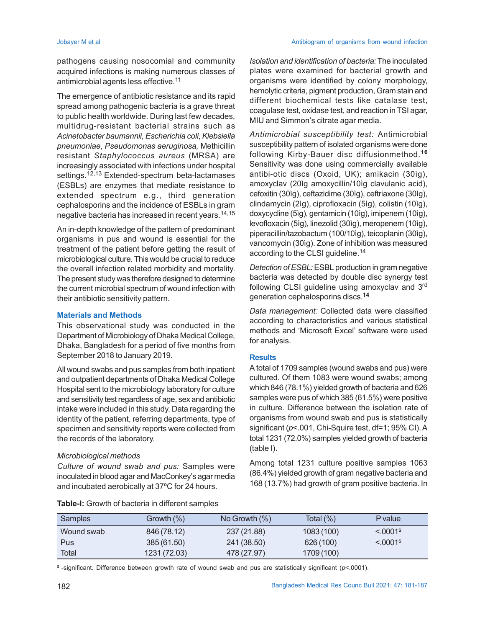Jobayer M et al Antibiogram of organisms from wound infection

pathogens causing nosocomial and community acquired infections is making numerous classes of antimicrobial agents less effective.<sup>11</sup>

The emergence of antibiotic resistance and its rapid spread among pathogenic bacteria is a grave threat to public health worldwide. During last few decades, multidrug-resistant bacterial strains such as *Acinetobacter baumannii*, *Escherichia coli*, *Klebsiella pneumoniae*, *Pseudomonas aeruginosa,* Methicillin resistant *Staphylococcus aureus* (MRSA) are increasingly associated with infections under hospital settings.<sup>12,13</sup> Extended-spectrum beta-lactamases (ESBLs) are enzymes that mediate resistance to extended spectrum e.g., third generation cephalosporins and the incidence of ESBLs in gram negative bacteria has increased in recent years.14,15

An in-depth knowledge of the pattern of predominant organisms in pus and wound is essential for the treatment of the patient before getting the result of microbiological culture. This would be crucial to reduce the overall infection related morbidity and mortality. The present study was therefore designed to determine the current microbial spectrum of wound infection with their antibiotic sensitivity pattern.

# **Materials and Methods**

This observational study was conducted in the Department of Microbiology of Dhaka Medical College, Dhaka, Bangladesh for a period of five months from September 2018 to January 2019.

All wound swabs and pus samples from both inpatient and outpatient departments of Dhaka Medical College Hospital sent to the microbiology laboratory for culture and sensitivity test regardless of age, sex and antibiotic intake were included in this study. Data regarding the identity of the patient, referring departments, type of specimen and sensitivity reports were collected from the records of the laboratory.

# *Microbiological methods*

*Culture of wound swab and pus:* Samples were inoculated in blood agar and MacConkey's agar media and incubated aerobically at 37ºC for 24 hours.

*Isolation and identification of bacteria:* The inoculated plates were examined for bacterial growth and organisms were identified by colony morphology, hemolytic criteria, pigment production, Gram stain and different biochemical tests like catalase test, coagulase test, oxidase test, and reaction in TSI agar, MIU and Simmon's citrate agar media.

*Antimicrobial susceptibility test:* Antimicrobial susceptibility pattern of isolated organisms were done following Kirby-Bauer disc diffusionmethod.**<sup>16</sup>** Sensitivity was done using commercially available antibi-otic discs (Oxoid, UK); amikacin (30ìg), amoxyclav (20ìg amoxycillin/10ìg clavulanic acid), cefoxitin (30ìg), ceftazidime (30ìg), ceftriaxone (30ìg), clindamycin (2ìg), ciprofloxacin (5ìg), colistin (10ìg), doxycycline (5ìg), gentamicin (10ìg), imipenem (10ìg), levofloxacin (5ìg), linezolid (30ìg), meropenem (10ìg), piperacillin/tazobactum (100/10ìg), teicoplanin (30ìg), vancomycin (30ìg). Zone of inhibition was measured according to the CLSI guideline.<sup>14</sup>

*Detection of ESBL:* ESBL production in gram negative bacteria was detected by double disc synergy test following CLSI guideline using amoxyclav and 3rd generation cephalosporins discs.**<sup>14</sup>**

*Data management:* Collected data were classified according to characteristics and various statistical methods and 'Microsoft Excel' software were used for analysis.

# **Results**

A total of 1709 samples (wound swabs and pus) were cultured. Of them 1083 were wound swabs; among which 846 (78.1%) yielded growth of bacteria and 626 samples were pus of which 385 (61.5%) were positive in culture. Difference between the isolation rate of organisms from wound swab and pus is statistically significant ( $p$ <.001, Chi-Squire test, df=1; 95% CI). A total 1231 (72.0%) samples yielded growth of bacteria (table I).

Among total 1231 culture positive samples 1063 (86.4%) yielded growth of gram negative bacteria and 168 (13.7%) had growth of gram positive bacteria. In

| <b>Samples</b> | Growth (%)   | No Growth $(\%)$ | Total $(\%)$ | P value                   |
|----------------|--------------|------------------|--------------|---------------------------|
| Wound swab     | 846 (78.12)  | 237 (21.88)      | 1083(100)    | $\leq 0.001$ <sup>s</sup> |
| Pus            | 385 (61.50)  | 241 (38.50)      | 626 (100)    | $< 0.0001$ <sup>s</sup>   |
| Total          | 1231 (72.03) | 478 (27.97)      | 1709 (100)   |                           |

**Table-I:** Growth of bacteria in different samples

<sup>s</sup>-significant. Difference between growth rate of wound swab and pus are statistically significant (*p*<.0001).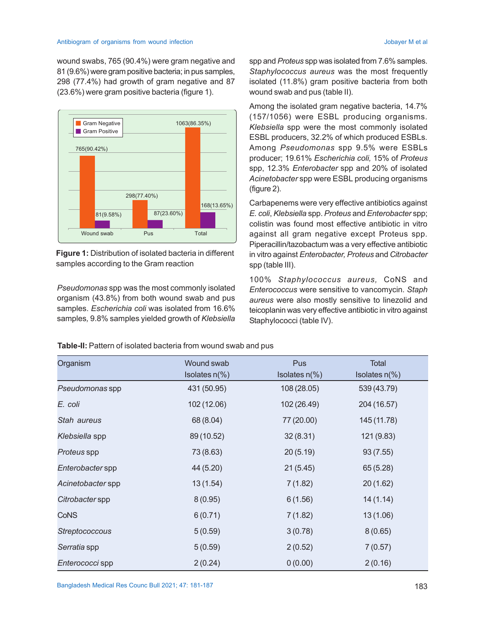wound swabs, 765 (90.4%) were gram negative and 81 (9.6%) were gram positive bacteria; in pus samples, 298 (77.4%) had growth of gram negative and 87 (23.6%) were gram positive bacteria (figure 1).



**Figure 1:** Distribution of isolated bacteria in different samples according to the Gram reaction

*Pseudomonas* spp was the most commonly isolated organism (43.8%) from both wound swab and pus samples. *Escherichia coli* was isolated from 16.6% samples*,* 9.8% samples yielded growth of *Klebsiella* spp and *Proteus* spp was isolated from 7.6% samples. *Staphylococcus aureus* was the most frequently isolated (11.8%) gram positive bacteria from both wound swab and pus (table II).

Among the isolated gram negative bacteria, 14.7% (157/1056) were ESBL producing organisms. *Klebsiella* spp were the most commonly isolated ESBL producers, 32.2% of which produced ESBLs. Among *Pseudomonas* spp 9.5% were ESBLs producer; 19.61% *Escherichia coli,* 15% of *Proteus* spp, 12.3% *Enterobacter* spp and 20% of isolated *Acinetobacter* spp were ESBL producing organisms (figure 2).

Carbapenems were very effective antibiotics against *E. coli*, *Klebsiella* spp. *Proteus* and *Enterobacter* spp; colistin was found most effective antibiotic in vitro against all gram negative except Proteus spp. Piperacillin/tazobactum was a very effective antibiotic in vitro against *Enterobacter, Proteus* and *Citrobacter* spp (table III).

100% *Staphylococcus aureus,* CoNS and *Enterococcus* were sensitive to vancomycin. *Staph aureus* were also mostly sensitive to linezolid and teicoplanin was very effective antibiotic in vitro against Staphylococci (table IV).

**Table-II:** Pattern of isolated bacteria from wound swab and pus

| Organism          | Wound swab       | Pus              | Total            |
|-------------------|------------------|------------------|------------------|
|                   | Isolates $n(\%)$ | Isolates $n(\%)$ | Isolates $n(\%)$ |
| Pseudomonas spp   | 431 (50.95)      | 108 (28.05)      | 539 (43.79)      |
| E. coli           | 102 (12.06)      | 102 (26.49)      | 204 (16.57)      |
| Stah aureus       | 68 (8.04)        | 77 (20.00)       | 145 (11.78)      |
| Klebsiella spp    | 89 (10.52)       | 32(8.31)         | 121 (9.83)       |
| Proteus spp       | 73 (8.63)        | 20(5.19)         | 93(7.55)         |
| Enterobacter spp  | 44 (5.20)        | 21(5.45)         | 65 (5.28)        |
| Acinetobacter spp | 13(1.54)         | 7(1.82)          | 20(1.62)         |
| Citrobacter spp   | 8(0.95)          | 6(1.56)          | 14(1.14)         |
| <b>CoNS</b>       | 6(0.71)          | 7(1.82)          | 13(1.06)         |
| Streptococcous    | 5(0.59)          | 3(0.78)          | 8(0.65)          |
| Serratia spp      | 5(0.59)          | 2(0.52)          | 7(0.57)          |
| Enterococci spp   | 2(0.24)          | 0(0.00)          | 2(0.16)          |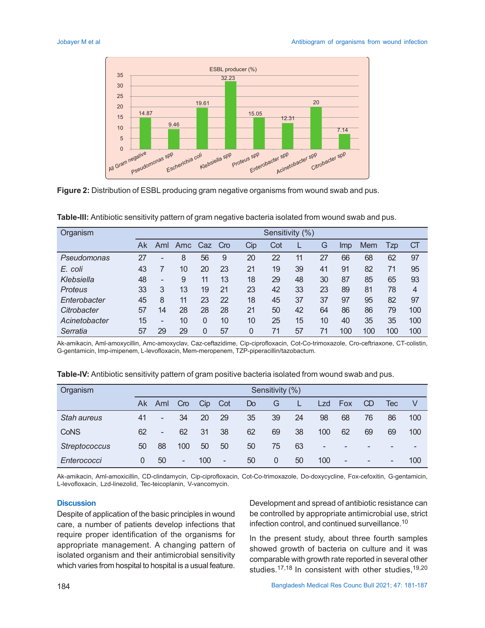

**Figure 2:** Distribution of ESBL producing gram negative organisms from wound swab and pus.

**Table-III:** Antibiotic sensitivity pattern of gram negative bacteria isolated from wound swab and pus.

| Organism      | Sensitivity (%) |                          |     |     |     |     |     |    |    |     |     |        |           |
|---------------|-----------------|--------------------------|-----|-----|-----|-----|-----|----|----|-----|-----|--------|-----------|
|               | Ak              | Aml                      | Amc | Caz | Cro | Cip | Cot |    | G  | Imp | Mem | $I$ zp | <b>CT</b> |
| Pseudomonas   | 27              |                          | 8   | 56  | 9   | 20  | 22  | 11 | 27 | 66  | 68  | 62     | 97        |
| E. coli       | 43              |                          | 10  | 20  | 23  | 21  | 19  | 39 | 41 | 91  | 82  | 71     | 95        |
| Klebsiella    | 48              | $\overline{\phantom{0}}$ | 9   | 11  | 13  | 18  | 29  | 48 | 30 | 87  | 85  | 65     | 93        |
| Proteus       | 33              | 3                        | 13  | 19  | 21  | 23  | 42  | 33 | 23 | 89  | 81  | 78     | 4         |
| Enterobacter  | 45              | 8                        | 11  | 23  | 22  | 18  | 45  | 37 | 37 | 97  | 95  | 82     | 97        |
| Citrobacter   | 57              | 14                       | 28  | 28  | 28  | 21  | 50  | 42 | 64 | 86  | 86  | 79     | 100       |
| Acinetobacter | 15              | $\overline{a}$           | 10  | 0   | 10  | 10  | 25  | 15 | 10 | 40  | 35  | 35     | 100       |
| Serratia      | 57              | 29                       | 29  | 0   | 57  | 0   | 71  | 57 | 71 | 100 | 100 | 100    | 100       |

Ak-amikacin, Aml-amoxycillin, Amc-amoxyclav, Caz-ceftazidime, Cip-ciprofloxacin, Cot-Co-trimoxazole, Cro-ceftriaxone, CT-colistin, G-gentamicin, Imp-imipenem, L-levofloxacin, Mem-meropenem, TZP-piperacillin/tazobactum.

| Organism             | Sensitivity (%) |                          |     |     |     |                |                |    |     |                          |           |     |                          |
|----------------------|-----------------|--------------------------|-----|-----|-----|----------------|----------------|----|-----|--------------------------|-----------|-----|--------------------------|
|                      | Ak              | Aml                      | Cro | Cip | Cot | D <sub>o</sub> | G              |    | Lzd | Fox                      | <b>CD</b> | Тес | V                        |
| <b>Stah aureus</b>   | 41              | $\overline{\phantom{0}}$ | 34  | 20  | 29  | 35             | 39             | 24 | 98  | 68                       | 76        | 86  | 100                      |
| CoNS                 | 62              | $\qquad \qquad =$        | 62  | 31  | 38  | 62             | 69             | 38 | 100 | 62                       | 69        | 69  | 100                      |
| <b>Streptococcus</b> | 50              | 88                       | 100 | 50  | 50  | 50             | 75             | 63 | -   | $\overline{\phantom{0}}$ | -         | ۰   | $\overline{\phantom{a}}$ |
| Enterococci          | 0               | 50                       | -   | 100 | ۰.  | 50             | $\overline{0}$ | 50 | 100 | $\overline{\phantom{a}}$ | ۰         | -   | 100                      |

**Table-IV:** Antibiotic sensitivity pattern of gram positive bacteria isolated from wound swab and pus.

Ak-amikacin, Aml-amoxicillin, CD-clindamycin, Cip-ciprofloxacin, Cot-Co-trimoxazole, Do-doxycycline, Fox-cefoxitin, G-gentamicin, L-levofloxacin, Lzd-linezolid, Tec-teicoplanin, V-vancomycin.

#### **Discussion**

Despite of application of the basic principles in wound care, a number of patients develop infections that require proper identification of the organisms for appropriate management. A changing pattern of isolated organism and their antimicrobial sensitivity which varies from hospital to hospital is a usual feature.

Development and spread of antibiotic resistance can be controlled by appropriate antimicrobial use, strict infection control, and continued surveillance.<sup>10</sup>

In the present study, about three fourth samples showed growth of bacteria on culture and it was comparable with growth rate reported in several other studies.<sup>17,18</sup> In consistent with other studies,<sup>19,20</sup>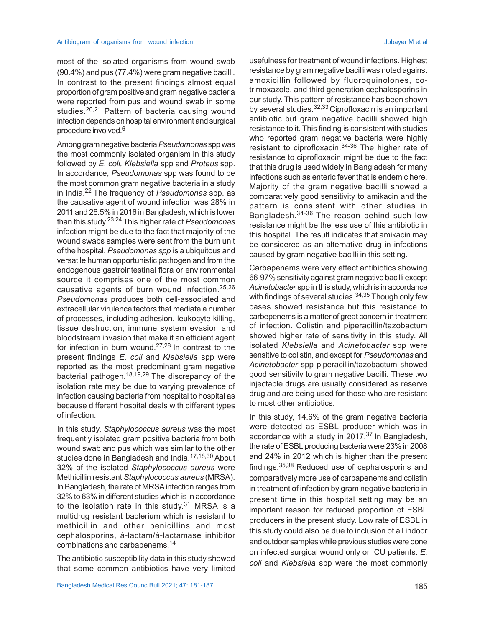most of the isolated organisms from wound swab (90.4%) and pus (77.4%) were gram negative bacilli. In contrast to the present findings almost equal proportion of gram positive and gram negative bacteria were reported from pus and wound swab in some studies.<sup>20,21</sup> Pattern of bacteria causing wound infection depends on hospital environment and surgical procedure involved.<sup>6</sup>

Among gram negative bacteria *Pseudomonas* spp was the most commonly isolated organism in this study followed by *E. coli, Klebsiella* spp and *Proteus* spp. In accordance, *Pseudomonas* spp was found to be the most common gram negative bacteria in a study in India.22 The frequency of *Pseudomonas* spp. as the causative agent of wound infection was 28% in 2011 and 26.5% in 2016 in Bangladesh, which is lower than this study. 23,24 This higher rate of *Pseudomonas* infection might be due to the fact that majority of the wound swabs samples were sent from the burn unit of the hospital. *Pseudomonas spp* is a ubiquitous and versatile human opportunistic pathogen and from the endogenous gastrointestinal flora or environmental source it comprises one of the most common causative agents of burn wound infection.25,26 *Pseudomonas* produces both cell-associated and extracellular virulence factors that mediate a number of processes, including adhesion, leukocyte killing, tissue destruction, immune system evasion and bloodstream invasion that make it an efficient agent for infection in burn wound.<sup>27,28</sup> In contrast to the present findings *E. coli* and *Klebsiella* spp were reported as the most predominant gram negative bacterial pathogen.18,19,29 The discrepancy of the isolation rate may be due to varying prevalence of infection causing bacteria from hospital to hospital as because different hospital deals with different types of infection.

In this study, *Staphylococcus aureus* was the most frequently isolated gram positive bacteria from both wound swab and pus which was similar to the other studies done in Bangladesh and India.<sup>17,18,30</sup> About 32% of the isolated *Staphylococcus aureus* were Methicillin resistant *Staphylococcus aureus* (MRSA). In Bangladesh, the rate of MRSA infection ranges from 32% to 63% in different studies which is in accordance to the isolation rate in this study.<sup>31</sup> MRSA is a multidrug resistant bacterium which is resistant to methicillin and other penicillins and most cephalosporins, â-lactam/â-lactamase inhibitor combinations and carbapenems.<sup>14</sup>

The antibiotic susceptibility data in this study showed that some common antibiotics have very limited

usefulness for treatment of wound infections. Highest resistance by gram negative bacilli was noted against amoxicillin followed by fluoroquinolones, cotrimoxazole, and third generation cephalosporins in our study. This pattern of resistance has been shown by several studies.<sup>32,33</sup> Ciprofloxacin is an important antibiotic but gram negative bacilli showed high resistance to it. This finding is consistent with studies who reported gram negative bacteria were highly resistant to ciprofloxacin.34-36 The higher rate of resistance to ciprofloxacin might be due to the fact that this drug is used widely in Bangladesh for many infections such as enteric fever that is endemic here. Majority of the gram negative bacilli showed a comparatively good sensitivity to amikacin and the pattern is consistent with other studies in Bangladesh.34-36 The reason behind such low resistance might be the less use of this antibiotic in this hospital. The result indicates that amikacin may be considered as an alternative drug in infections caused by gram negative bacilli in this setting.

Carbapenems were very effect antibiotics showing 66-97% sensitivity against gram negative bacilli except *Acinetobacter* spp in this study, which is in accordance with findings of several studies.<sup>34,35</sup> Though only few cases showed resistance but this resistance to carbepenems is a matter of great concern in treatment of infection. Colistin and piperacillin/tazobactum showed higher rate of sensitivity in this study. All isolated *Klebsiella* and *Acinetobacter* spp were sensitive to colistin, and except for *Pseudomonas* and *Acinetobacter* spp piperacillin/tazobactum showed good sensitivity to gram negative bacilli. These two injectable drugs are usually considered as reserve drug and are being used for those who are resistant to most other antibiotics.

In this study, 14.6% of the gram negative bacteria were detected as ESBL producer which was in accordance with a study in 2017.37 In Bangladesh, the rate of ESBL producing bacteria were 23% in 2008 and 24% in 2012 which is higher than the present findings.35,38 Reduced use of cephalosporins and comparatively more use of carbapenems and colistin in treatment of infection by gram negative bacteria in present time in this hospital setting may be an important reason for reduced proportion of ESBL producers in the present study. Low rate of ESBL in this study could also be due to inclusion of all indoor and outdoor samples while previous studies were done on infected surgical wound only or ICU patients. *E. coli* and *Klebsiella* spp were the most commonly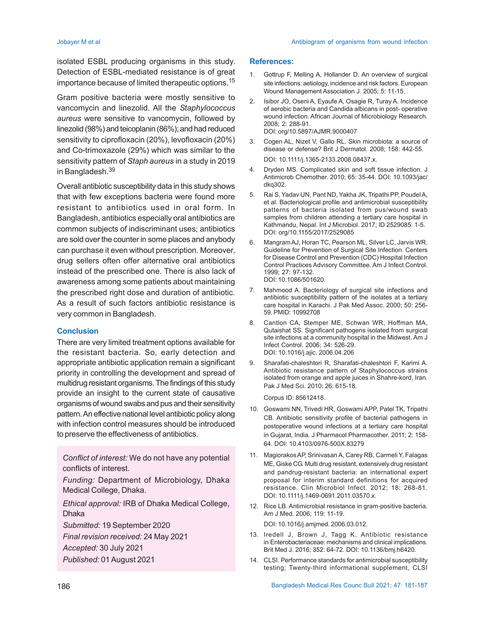isolated ESBL producing organisms in this study. Detection of ESBL-mediated resistance is of great importance because of limited therapeutic options.<sup>15</sup>

Gram positive bacteria were mostly sensitive to vancomycin and linezolid. All the *Staphylococcus aureus* were sensitive to vancomycin, followed by linezolid (98%) and teicoplanin (86%); and had reduced sensitivity to ciprofloxacin (20%), levofloxacin (20%) and Co-trimoxazole (29%) which was similar to the sensitivity pattern of *Staph aureus* in a study in 2019 in Bangladesh.<sup>39</sup>

Overall antibiotic susceptibility data in this study shows that with few exceptions bacteria were found more resistant to antibiotics used in oral form. In Bangladesh, antibiotics especially oral antibiotics are common subjects of indiscriminant uses; antibiotics are sold over the counter in some places and anybody can purchase it even without prescription. Moreover, drug sellers often offer alternative oral antibiotics instead of the prescribed one. There is also lack of awareness among some patients about maintaining the prescribed right dose and duration of antibiotic. As a result of such factors antibiotic resistance is very common in Bangladesh.

#### **Conclusion**

There are very limited treatment options available for the resistant bacteria. So, early detection and appropriate antibiotic application remain a significant priority in controlling the development and spread of multidrug resistant organisms. The findings of this study provide an insight to the current state of causative organisms of wound swabs and pus and their sensitivity pattern. An effective national level antibiotic policy along with infection control measures should be introduced to preserve the effectiveness of antibiotics.

*Conflict of interest:* We do not have any potential conflicts of interest.

*Funding:* Department of Microbiology, Dhaka Medical College, Dhaka.

*Ethical approval:* IRB of Dhaka Medical College, Dhaka

*Submitted:* 19 September 2020

*Final revision received:* 24 May 2021

*Accepted:* 30 July 2021

*Published:* 01 August 2021

#### **References:**

- 1. Gottrup F, Melling A, Hollander D. An overview of surgical site infections: aetiology, incidence and risk factors. European Wound Management Association J. 2005; 5: 11-15.
- 2. Isibor JO, Oseni A, Eyaufe A, Osagie R, Turay A. Incidence of aerobic bacteria and Candida albicans in post- operative wound infection. African Journal of Microbiology Research. 2008; 2: 288-91. DOI: org/10.5897/AJMR.9000407
- 3. Cogen AL, Nizet V, Gallo RL. Skin microbiota: a source of disease or defense? Brit J Dermatol. 2008; 158: 442-55. DOI: 10.1111/j.1365-2133.2008.08437.x.
- 4. Dryden MS. Complicated skin and soft tissue infection. J Antimicrob Chemother. 2010; 65: 35-44. DOI: 10.1093/jac/ dkq302.
- 5. Rai S, Yadav UN, Pant ND, Yakha JK, Tripathi PP, Poudel A, et al. Bacteriological profile and antimicrobial susceptibility patterns of bacteria isolated from pus/wound swab samples from children attending a tertiary care hospital in Kathmandu, Nepal. Int J Microbiol. 2017; ID 2529085: 1-5. DOI: org/10.1155/2017/2529085
- 6. Mangram AJ, Horan TC, Pearson ML, Silver LC, Jarvis WR. Guideline for Prevention of Surgical Site Infection. Centers for Disease Control and Prevention (CDC) Hospital Infection Control Practices Advisory Committee. Am J Infect Control. 1999; 27: 97-132. DOI: 10.1086/501620.
- 7. Mahmood A. Bacteriology of surgical site infections and antibiotic susceptibility pattern of the isolates at a tertiary care hospital in Karachi. J Pak Med Assoc. 2000; 50: 256- 59. PMID: 10992708
- 8. Cantlon CA, Stemper ME, Schwan WR, Hoffman MA, Qutaishat SS. Significant pathogens isolated from surgical site infections at a community hospital in the Midwest. Am J Infect Control. 2006; 34: 526-29. DOI: 10.1016/j.ajic. 2006.04.206
- 9. Sharafati-chaleshtori R, Sharafati-chaleshtori F, Karimi A. Antibiotic resistance pattern of Staphylococcus strains isolated from orange and apple juices in Shahre-kord, Iran. Pak J Med Sci. 2010; 26: 615-18.

Corpus ID: 85612418.

- 10. Goswami NN, Trivedi HR, Goswami APP, Patel TK, Tripathi CB. Antibiotic sensitivity profile of bacterial pathogens in postoperative wound infections at a tertiary care hospital in Gujarat, India. J Pharmacol Pharmacother. 2011; 2: 158- 64. DOI: 10.4103/0976-500X.83279
- 11. Magiorakos AP, Srinivasan A, Carey RB, Carmeli Y, Falagas ME, Giske CG. Multi drug resistant, extensively drug resistant and pandrug-resistant bacteria: an international expert proposal for interim standard definitions for acquired resistance. Clin Microbiol Infect. 2012; 18: 268-81. DOI: 10.1111/j.1469-0691.2011.03570.x.
- 12. Rice LB. Antimicrobial resistance in gram-positive bacteria. Am J Med. 2006; 119: 11-19. DOI: 10.1016/j.amjmed. 2006.03.012.
- 13. Iredell J, Brown J, Tagg K. Antibiotic resistance in Enterobacteriaceae: mechanisms and clinical implications. Brit Med J. 2016; 352: 64-72. DOI: 10.1136/bmj.h6420.
- 14. CLSI. Performance standards for antimicrobial susceptibility testing; Twenty-third informational supplement, CLSI